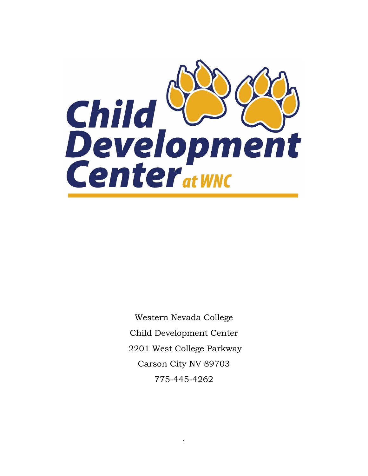

Western Nevada College Child Development Center 2201 West College Parkway Carson City NV 89703 775-445-4262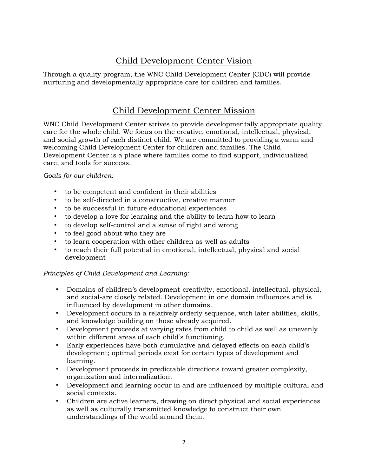# Child Development Center Vision

Through a quality program, the WNC Child Development Center (CDC) will provide nurturing and developmentally appropriate care for children and families.

# Child Development Center Mission

WNC Child Development Center strives to provide developmentally appropriate quality care for the whole child. We focus on the creative, emotional, intellectual, physical, and social growth of each distinct child. We are committed to providing a warm and welcoming Child Development Center for children and families. The Child Development Center is a place where families come to find support, individualized care, and tools for success.

## *Goals for our children:*

- to be competent and confident in their abilities
- to be self-directed in a constructive, creative manner
- to be successful in future educational experiences
- to develop a love for learning and the ability to learn how to learn
- to develop self-control and a sense of right and wrong
- to feel good about who they are
- to learn cooperation with other children as well as adults
- to reach their full potential in emotional, intellectual, physical and social development

## *Principles of Child Development and Learning:*

- Domains of children's development-creativity, emotional, intellectual, physical, and social-are closely related. Development in one domain influences and is influenced by development in other domains.
- Development occurs in a relatively orderly sequence, with later abilities, skills, and knowledge building on those already acquired.
- Development proceeds at varying rates from child to child as well as unevenly within different areas of each child's functioning.
- Early experiences have both cumulative and delayed effects on each child's development; optimal periods exist for certain types of development and learning.
- Development proceeds in predictable directions toward greater complexity, organization and internalization.
- Development and learning occur in and are influenced by multiple cultural and social contexts.
- Children are active learners, drawing on direct physical and social experiences as well as culturally transmitted knowledge to construct their own understandings of the world around them.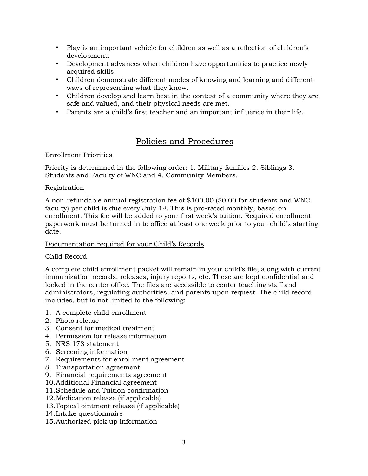- Play is an important vehicle for children as well as a reflection of children's development.
- Development advances when children have opportunities to practice newly acquired skills.
- Children demonstrate different modes of knowing and learning and different ways of representing what they know.
- Children develop and learn best in the context of a community where they are safe and valued, and their physical needs are met.
- Parents are a child's first teacher and an important influence in their life.

# Policies and Procedures

## Enrollment Priorities

Priority is determined in the following order: 1. Military families 2. Siblings 3. Students and Faculty of WNC and 4. Community Members.

## Registration

A non-refundable annual registration fee of \$100.00 (50.00 for students and WNC faculty) per child is due every July 1st. This is pro-rated monthly, based on enrollment. This fee will be added to your first week's tuition. Required enrollment paperwork must be turned in to office at least one week prior to your child's starting date.

## Documentation required for your Child's Records

## Child Record

A complete child enrollment packet will remain in your child's file, along with current immunization records, releases, injury reports, etc. These are kept confidential and locked in the center office. The files are accessible to center teaching staff and administrators, regulating authorities, and parents upon request. The child record includes, but is not limited to the following:

- 1. A complete child enrollment
- 2. Photo release
- 3. Consent for medical treatment
- 4. Permission for release information
- 5. NRS 178 statement
- 6. Screening information
- 7. Requirements for enrollment agreement
- 8. Transportation agreement
- 9. Financial requirements agreement
- 10.Additional Financial agreement
- 11.Schedule and Tuition confirmation
- 12.Medication release (if applicable)
- 13.Topical ointment release (if applicable)
- 14.Intake questionnaire
- 15.Authorized pick up information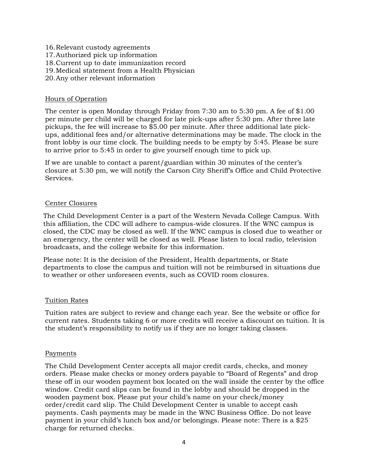- 16.Relevant custody agreements
- 17.Authorized pick up information
- 18.Current up to date immunization record
- 19.Medical statement from a Health Physician
- 20.Any other relevant information

## Hours of Operation

The center is open Monday through Friday from 7:30 am to 5:30 pm. A fee of \$1.00 per minute per child will be charged for late pick-ups after 5:30 pm. After three late pickups, the fee will increase to \$5.00 per minute. After three additional late pickups, additional fees and/or alternative determinations may be made. The clock in the front lobby is our time clock. The building needs to be empty by 5:45. Please be sure to arrive prior to 5:45 in order to give yourself enough time to pick up.

If we are unable to contact a parent/guardian within 30 minutes of the center's closure at 5:30 pm, we will notify the Carson City Sheriff's Office and Child Protective Services.

## Center Closures

The Child Development Center is a part of the Western Nevada College Campus. With this affiliation, the CDC will adhere to campus-wide closures. If the WNC campus is closed, the CDC may be closed as well. If the WNC campus is closed due to weather or an emergency, the center will be closed as well. Please listen to local radio, television broadcasts, and the college website for this information.

Please note: It is the decision of the President, Health departments, or State departments to close the campus and tuition will not be reimbursed in situations due to weather or other unforeseen events, such as COVID room closures.

## Tuition Rates

Tuition rates are subject to review and change each year. See the website or office for current rates. Students taking 6 or more credits will receive a discount on tuition. It is the student's responsibility to notify us if they are no longer taking classes.

## Payments

The Child Development Center accepts all major credit cards, checks, and money orders. Please make checks or money orders payable to "Board of Regents" and drop these off in our wooden payment box located on the wall inside the center by the office window. Credit card slips can be found in the lobby and should be dropped in the wooden payment box. Please put your child's name on your check/money order/credit card slip. The Child Development Center is unable to accept cash payments. Cash payments may be made in the WNC Business Office. Do not leave payment in your child's lunch box and/or belongings. Please note: There is a \$25 charge for returned checks.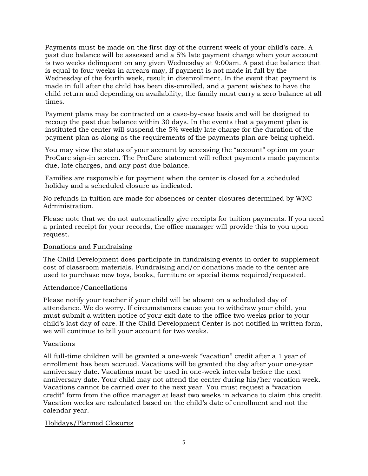Payments must be made on the first day of the current week of your child's care. A past due balance will be assessed and a 5% late payment charge when your account is two weeks delinquent on any given Wednesday at 9:00am. A past due balance that is equal to four weeks in arrears may, if payment is not made in full by the Wednesday of the fourth week, result in disenrollment. In the event that payment is made in full after the child has been dis-enrolled, and a parent wishes to have the child return and depending on availability, the family must carry a zero balance at all times.

Payment plans may be contracted on a case-by-case basis and will be designed to recoup the past due balance within 30 days. In the events that a payment plan is instituted the center will suspend the 5% weekly late charge for the duration of the payment plan as along as the requirements of the payments plan are being upheld.

You may view the status of your account by accessing the "account" option on your ProCare sign-in screen. The ProCare statement will reflect payments made payments due, late charges, and any past due balance.

Families are responsible for payment when the center is closed for a scheduled holiday and a scheduled closure as indicated.

No refunds in tuition are made for absences or center closures determined by WNC Administration.

Please note that we do not automatically give receipts for tuition payments. If you need a printed receipt for your records, the office manager will provide this to you upon request.

## Donations and Fundraising

The Child Development does participate in fundraising events in order to supplement cost of classroom materials. Fundraising and/or donations made to the center are used to purchase new toys, books, furniture or special items required/requested.

#### Attendance/Cancellations

Please notify your teacher if your child will be absent on a scheduled day of attendance. We do worry. If circumstances cause you to withdraw your child, you must submit a written notice of your exit date to the office two weeks prior to your child's last day of care. If the Child Development Center is not notified in written form, we will continue to bill your account for two weeks.

#### Vacations

All full-time children will be granted a one-week "vacation" credit after a 1 year of enrollment has been accrued. Vacations will be granted the day after your one-year anniversary date. Vacations must be used in one-week intervals before the next anniversary date. Your child may not attend the center during his/her vacation week. Vacations cannot be carried over to the next year. You must request a "vacation credit" form from the office manager at least two weeks in advance to claim this credit. Vacation weeks are calculated based on the child's date of enrollment and not the calendar year.

#### Holidays/Planned Closures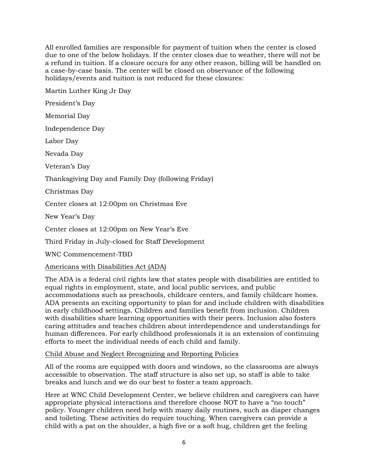All enrolled families are responsible for payment of tuition when the center is closed due to one of the below holidays. If the center closes due to weather, there will not be a refund in tuition. If a closure occurs for any other reason, billing will be handled on a case-by-case basis. The center will be closed on observance of the following holidays/events and tuition is not reduced for these closures:

Martin Luther King Jr Day President's Day Memorial Day Independence Day Labor Day Nevada Day Veteran's Day Thanksgiving Day and Family Day (following Friday) Christmas Day Center closes at 12:00pm on Christmas Eve New Year's Day Center closes at 12:00pm on New Year's Eve Third Friday in July-closed for Staff Development

WNC Commencement-TBD

## Americans with Disabilities Act (ADA)

The ADA is a federal civil rights law that states people with disabilities are entitled to equal rights in employment, state, and local public services, and public accommodations such as preschools, childcare centers, and family childcare homes. ADA presents an exciting opportunity to plan for and include children with disabilities in early childhood settings. Children and families benefit from inclusion. Children with disabilities share learning opportunities with their peers. Inclusion also fosters caring attitudes and teaches children about interdependence and understandings for human differences. For early childhood professionals it is an extension of continuing efforts to meet the individual needs of each child and family.

#### Child Abuse and Neglect Recognizing and Reporting Policies

All of the rooms are equipped with doors and windows, so the classrooms are always accessible to observation. The staff structure is also set up, so staff is able to take breaks and lunch and we do our best to foster a team approach.

Here at WNC Child Development Center, we believe children and caregivers can have appropriate physical interactions and therefore choose NOT to have a "no touch" policy. Younger children need help with many daily routines, such as diaper changes and toileting. These activities do require touching. When caregivers can provide a child with a pat on the shoulder, a high five or a soft hug, children get the feeling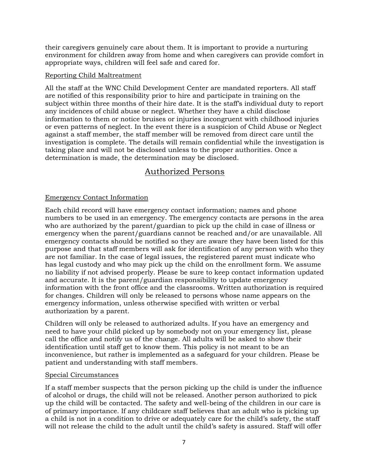their caregivers genuinely care about them. It is important to provide a nurturing environment for children away from home and when caregivers can provide comfort in appropriate ways, children will feel safe and cared for.

#### Reporting Child Maltreatment

All the staff at the WNC Child Development Center are mandated reporters. All staff are notified of this responsibility prior to hire and participate in training on the subject within three months of their hire date. It is the staff's individual duty to report any incidences of child abuse or neglect. Whether they have a child disclose information to them or notice bruises or injuries incongruent with childhood injuries or even patterns of neglect. In the event there is a suspicion of Child Abuse or Neglect against a staff member, the staff member will be removed from direct care until the investigation is complete. The details will remain confidential while the investigation is taking place and will not be disclosed unless to the proper authorities. Once a determination is made, the determination may be disclosed.

## Authorized Persons

## Emergency Contact Information

Each child record will have emergency contact information; names and phone numbers to be used in an emergency. The emergency contacts are persons in the area who are authorized by the parent/guardian to pick up the child in case of illness or emergency when the parent/guardians cannot be reached and/or are unavailable. All emergency contacts should be notified so they are aware they have been listed for this purpose and that staff members will ask for identification of any person with who they are not familiar. In the case of legal issues, the registered parent must indicate who has legal custody and who may pick up the child on the enrollment form. We assume no liability if not advised properly. Please be sure to keep contact information updated and accurate. It is the parent/guardian responsibility to update emergency information with the front office and the classrooms. Written authorization is required for changes. Children will only be released to persons whose name appears on the emergency information, unless otherwise specified with written or verbal authorization by a parent.

Children will only be released to authorized adults. If you have an emergency and need to have your child picked up by somebody not on your emergency list, please call the office and notify us of the change. All adults will be asked to show their identification until staff get to know them. This policy is not meant to be an inconvenience, but rather is implemented as a safeguard for your children. Please be patient and understanding with staff members.

## Special Circumstances

If a staff member suspects that the person picking up the child is under the influence of alcohol or drugs, the child will not be released. Another person authorized to pick up the child will be contacted. The safety and well-being of the children in our care is of primary importance. If any childcare staff believes that an adult who is picking up a child is not in a condition to drive or adequately care for the child's safety, the staff will not release the child to the adult until the child's safety is assured. Staff will offer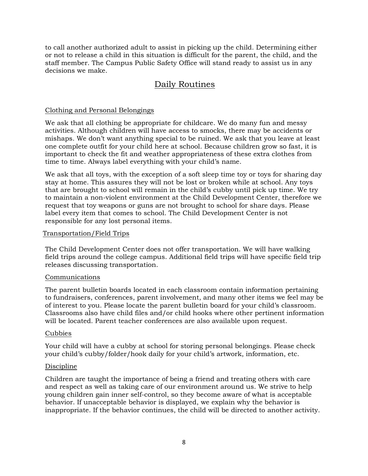to call another authorized adult to assist in picking up the child. Determining either or not to release a child in this situation is difficult for the parent, the child, and the staff member. The Campus Public Safety Office will stand ready to assist us in any decisions we make.

# Daily Routines

### Clothing and Personal Belongings

We ask that all clothing be appropriate for childcare. We do many fun and messy activities. Although children will have access to smocks, there may be accidents or mishaps. We don't want anything special to be ruined. We ask that you leave at least one complete outfit for your child here at school. Because children grow so fast, it is important to check the fit and weather appropriateness of these extra clothes from time to time. Always label everything with your child's name.

We ask that all toys, with the exception of a soft sleep time toy or toys for sharing day stay at home. This assures they will not be lost or broken while at school. Any toys that are brought to school will remain in the child's cubby until pick up time. We try to maintain a non-violent environment at the Child Development Center, therefore we request that toy weapons or guns are not brought to school for share days. Please label every item that comes to school. The Child Development Center is not responsible for any lost personal items.

#### Transportation/Field Trips

The Child Development Center does not offer transportation. We will have walking field trips around the college campus. Additional field trips will have specific field trip releases discussing transportation.

#### Communications

The parent bulletin boards located in each classroom contain information pertaining to fundraisers, conferences, parent involvement, and many other items we feel may be of interest to you. Please locate the parent bulletin board for your child's classroom. Classrooms also have child files and/or child hooks where other pertinent information will be located. Parent teacher conferences are also available upon request.

#### Cubbies

Your child will have a cubby at school for storing personal belongings. Please check your child's cubby/folder/hook daily for your child's artwork, information, etc.

#### **Discipline**

Children are taught the importance of being a friend and treating others with care and respect as well as taking care of our environment around us. We strive to help young children gain inner self-control, so they become aware of what is acceptable behavior. If unacceptable behavior is displayed, we explain why the behavior is inappropriate. If the behavior continues, the child will be directed to another activity.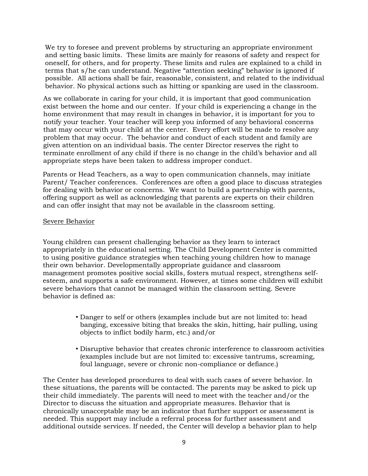We try to foresee and prevent problems by structuring an appropriate environment and setting basic limits. These limits are mainly for reasons of safety and respect for oneself, for others, and for property. These limits and rules are explained to a child in terms that s/he can understand. Negative "attention seeking" behavior is ignored if possible. All actions shall be fair, reasonable, consistent, and related to the individual behavior. No physical actions such as hitting or spanking are used in the classroom.

As we collaborate in caring for your child, it is important that good communication exist between the home and our center. If your child is experiencing a change in the home environment that may result in changes in behavior, it is important for you to notify your teacher. Your teacher will keep you informed of any behavioral concerns that may occur with your child at the center. Every effort will be made to resolve any problem that may occur. The behavior and conduct of each student and family are given attention on an individual basis. The center Director reserves the right to terminate enrollment of any child if there is no change in the child's behavior and all appropriate steps have been taken to address improper conduct.

Parents or Head Teachers, as a way to open communication channels, may initiate Parent/ Teacher conferences. Conferences are often a good place to discuss strategies for dealing with behavior or concerns. We want to build a partnership with parents, offering support as well as acknowledging that parents are experts on their children and can offer insight that may not be available in the classroom setting.

## Severe Behavior

Young children can present challenging behavior as they learn to interact appropriately in the educational setting. The Child Development Center is committed to using positive guidance strategies when teaching young children how to manage their own behavior. Developmentally appropriate guidance and classroom management promotes positive social skills, fosters mutual respect, strengthens selfesteem, and supports a safe environment. However, at times some children will exhibit severe behaviors that cannot be managed within the classroom setting. Severe behavior is defined as:

- Danger to self or others (examples include but are not limited to: head banging, excessive biting that breaks the skin, hitting, hair pulling, using objects to inflict bodily harm, etc.) and/or
- Disruptive behavior that creates chronic interference to classroom activities (examples include but are not limited to: excessive tantrums, screaming, foul language, severe or chronic non-compliance or defiance.)

The Center has developed procedures to deal with such cases of severe behavior. In these situations, the parents will be contacted. The parents may be asked to pick up their child immediately. The parents will need to meet with the teacher and/or the Director to discuss the situation and appropriate measures. Behavior that is chronically unacceptable may be an indicator that further support or assessment is needed. This support may include a referral process for further assessment and additional outside services. If needed, the Center will develop a behavior plan to help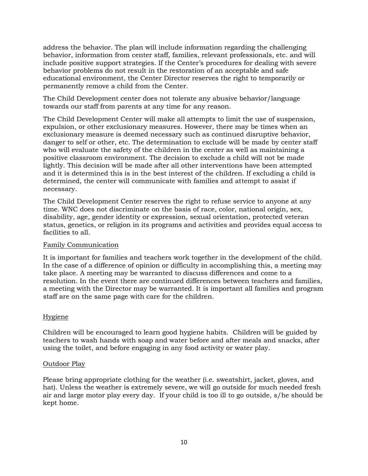address the behavior. The plan will include information regarding the challenging behavior, information from center staff, families, relevant professionals, etc. and will include positive support strategies. If the Center's procedures for dealing with severe behavior problems do not result in the restoration of an acceptable and safe educational environment, the Center Director reserves the right to temporarily or permanently remove a child from the Center.

The Child Development center does not tolerate any abusive behavior/language towards our staff from parents at any time for any reason.

The Child Development Center will make all attempts to limit the use of suspension, expulsion, or other exclusionary measures. However, there may be times when an exclusionary measure is deemed necessary such as continued disruptive behavior, danger to self or other, etc. The determination to exclude will be made by center staff who will evaluate the safety of the children in the center as well as maintaining a positive classroom environment. The decision to exclude a child will not be made lightly. This decision will be made after all other interventions have been attempted and it is determined this is in the best interest of the children. If excluding a child is determined, the center will communicate with families and attempt to assist if necessary.

The Child Development Center reserves the right to refuse service to anyone at any time. WNC does not discriminate on the basis of race, color, national origin, sex, disability, age, gender identity or expression, sexual orientation, protected veteran status, genetics, or religion in its programs and activities and provides equal access to facilities to all.

## Family Communication

It is important for families and teachers work together in the development of the child. In the case of a difference of opinion or difficulty in accomplishing this, a meeting may take place. A meeting may be warranted to discuss differences and come to a resolution. In the event there are continued differences between teachers and families, a meeting with the Director may be warranted. It is important all families and program staff are on the same page with care for the children.

## Hygiene

Children will be encouraged to learn good hygiene habits. Children will be guided by teachers to wash hands with soap and water before and after meals and snacks, after using the toilet, and before engaging in any food activity or water play.

#### Outdoor Play

Please bring appropriate clothing for the weather (i.e. sweatshirt, jacket, gloves, and hat). Unless the weather is extremely severe, we will go outside for much needed fresh air and large motor play every day. If your child is too ill to go outside, s/he should be kept home.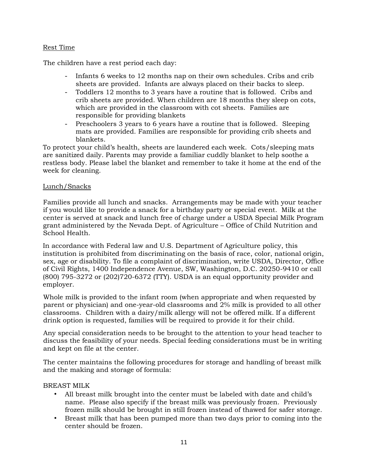### Rest Time

The children have a rest period each day:

- Infants 6 weeks to 12 months nap on their own schedules. Cribs and crib sheets are provided. Infants are always placed on their backs to sleep.
- Toddlers 12 months to 3 years have a routine that is followed. Cribs and crib sheets are provided. When children are 18 months they sleep on cots, which are provided in the classroom with cot sheets. Families are responsible for providing blankets
- Preschoolers 3 years to 6 years have a routine that is followed. Sleeping mats are provided. Families are responsible for providing crib sheets and blankets.

To protect your child's health, sheets are laundered each week. Cots/sleeping mats are sanitized daily. Parents may provide a familiar cuddly blanket to help soothe a restless body. Please label the blanket and remember to take it home at the end of the week for cleaning.

#### Lunch/Snacks

Families provide all lunch and snacks. Arrangements may be made with your teacher if you would like to provide a snack for a birthday party or special event. Milk at the center is served at snack and lunch free of charge under a USDA Special Milk Program grant administered by the Nevada Dept. of Agriculture – Office of Child Nutrition and School Health.

In accordance with Federal law and U.S. Department of Agriculture policy, this institution is prohibited from discriminating on the basis of race, color, national origin, sex, age or disability. To file a complaint of discrimination, write USDA, Director, Office of Civil Rights, 1400 Independence Avenue, SW, Washington, D.C. 20250-9410 or call (800) 795-3272 or (202)720-6372 (TTY). USDA is an equal opportunity provider and employer.

Whole milk is provided to the infant room (when appropriate and when requested by parent or physician) and one-year-old classrooms and 2% milk is provided to all other classrooms. Children with a dairy/milk allergy will not be offered milk. If a different drink option is requested, families will be required to provide it for their child.

Any special consideration needs to be brought to the attention to your head teacher to discuss the feasibility of your needs. Special feeding considerations must be in writing and kept on file at the center.

The center maintains the following procedures for storage and handling of breast milk and the making and storage of formula:

#### BREAST MILK

- All breast milk brought into the center must be labeled with date and child's name. Please also specify if the breast milk was previously frozen. Previously frozen milk should be brought in still frozen instead of thawed for safer storage.
- Breast milk that has been pumped more than two days prior to coming into the center should be frozen.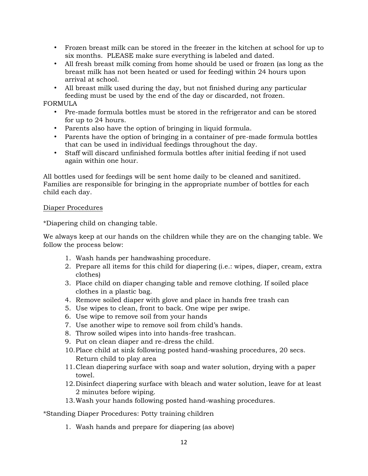- Frozen breast milk can be stored in the freezer in the kitchen at school for up to six months. PLEASE make sure everything is labeled and dated.
- All fresh breast milk coming from home should be used or frozen (as long as the breast milk has not been heated or used for feeding) within 24 hours upon arrival at school.
- All breast milk used during the day, but not finished during any particular feeding must be used by the end of the day or discarded, not frozen.

## FORMULA

- Pre-made formula bottles must be stored in the refrigerator and can be stored for up to 24 hours.
- Parents also have the option of bringing in liquid formula.
- Parents have the option of bringing in a container of pre-made formula bottles that can be used in individual feedings throughout the day.
- Staff will discard unfinished formula bottles after initial feeding if not used again within one hour.

All bottles used for feedings will be sent home daily to be cleaned and sanitized. Families are responsible for bringing in the appropriate number of bottles for each child each day.

## Diaper Procedures

\*Diapering child on changing table.

We always keep at our hands on the children while they are on the changing table. We follow the process below:

- 1. Wash hands per handwashing procedure.
- 2. Prepare all items for this child for diapering (i.e.: wipes, diaper, cream, extra clothes)
- 3. Place child on diaper changing table and remove clothing. If soiled place clothes in a plastic bag.
- 4. Remove soiled diaper with glove and place in hands free trash can
- 5. Use wipes to clean, front to back. One wipe per swipe.
- 6. Use wipe to remove soil from your hands
- 7. Use another wipe to remove soil from child's hands.
- 8. Throw soiled wipes into into hands-free trashcan.
- 9. Put on clean diaper and re-dress the child.
- 10.Place child at sink following posted hand-washing procedures, 20 secs. Return child to play area
- 11.Clean diapering surface with soap and water solution, drying with a paper towel.
- 12.Disinfect diapering surface with bleach and water solution, leave for at least 2 minutes before wiping.
- 13.Wash your hands following posted hand-washing procedures.

\*Standing Diaper Procedures: Potty training children

1. Wash hands and prepare for diapering (as above)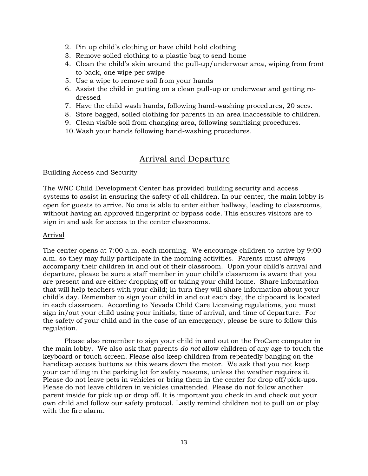- 2. Pin up child's clothing or have child hold clothing
- 3. Remove soiled clothing to a plastic bag to send home
- 4. Clean the child's skin around the pull-up/underwear area, wiping from front to back, one wipe per swipe
- 5. Use a wipe to remove soil from your hands
- 6. Assist the child in putting on a clean pull-up or underwear and getting redressed
- 7. Have the child wash hands, following hand-washing procedures, 20 secs.
- 8. Store bagged, soiled clothing for parents in an area inaccessible to children.
- 9. Clean visible soil from changing area, following sanitizing procedures.
- 10.Wash your hands following hand-washing procedures.

## Arrival and Departure

#### Building Access and Security

The WNC Child Development Center has provided building security and access systems to assist in ensuring the safety of all children. In our center, the main lobby is open for guests to arrive. No one is able to enter either hallway, leading to classrooms, without having an approved fingerprint or bypass code. This ensures visitors are to sign in and ask for access to the center classrooms.

#### Arrival

The center opens at 7:00 a.m. each morning. We encourage children to arrive by 9:00 a.m. so they may fully participate in the morning activities. Parents must always accompany their children in and out of their classroom. Upon your child's arrival and departure, please be sure a staff member in your child's classroom is aware that you are present and are either dropping off or taking your child home. Share information that will help teachers with your child; in turn they will share information about your child's day. Remember to sign your child in and out each day, the clipboard is located in each classroom. According to Nevada Child Care Licensing regulations, you must sign in/out your child using your initials, time of arrival, and time of departure. For the safety of your child and in the case of an emergency, please be sure to follow this regulation.

Please also remember to sign your child in and out on the ProCare computer in the main lobby. We also ask that parents *do not* allow children of any age to touch the keyboard or touch screen. Please also keep children from repeatedly banging on the handicap access buttons as this wears down the motor. We ask that you not keep your car idling in the parking lot for safety reasons, unless the weather requires it. Please do not leave pets in vehicles or bring them in the center for drop off/pick-ups. Please do not leave children in vehicles unattended. Please do not follow another parent inside for pick up or drop off. It is important you check in and check out your own child and follow our safety protocol. Lastly remind children not to pull on or play with the fire alarm.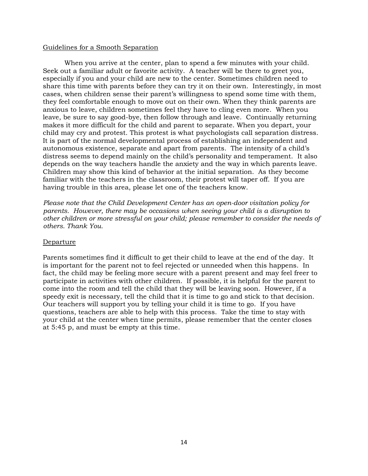#### Guidelines for a Smooth Separation

When you arrive at the center, plan to spend a few minutes with your child. Seek out a familiar adult or favorite activity. A teacher will be there to greet you, especially if you and your child are new to the center. Sometimes children need to share this time with parents before they can try it on their own. Interestingly, in most cases, when children sense their parent's willingness to spend some time with them, they feel comfortable enough to move out on their own. When they think parents are anxious to leave, children sometimes feel they have to cling even more. When you leave, be sure to say good-bye, then follow through and leave. Continually returning makes it more difficult for the child and parent to separate. When you depart, your child may cry and protest. This protest is what psychologists call separation distress. It is part of the normal developmental process of establishing an independent and autonomous existence, separate and apart from parents. The intensity of a child's distress seems to depend mainly on the child's personality and temperament. It also depends on the way teachers handle the anxiety and the way in which parents leave. Children may show this kind of behavior at the initial separation. As they become familiar with the teachers in the classroom, their protest will taper off. If you are having trouble in this area, please let one of the teachers know.

*Please note that the Child Development Center has an open-door visitation policy for parents. However, there may be occasions when seeing your child is a disruption to other children or more stressful on your child; please remember to consider the needs of others. Thank You.* 

#### Departure

Parents sometimes find it difficult to get their child to leave at the end of the day. It is important for the parent not to feel rejected or unneeded when this happens. In fact, the child may be feeling more secure with a parent present and may feel freer to participate in activities with other children. If possible, it is helpful for the parent to come into the room and tell the child that they will be leaving soon. However, if a speedy exit is necessary, tell the child that it is time to go and stick to that decision. Our teachers will support you by telling your child it is time to go. If you have questions, teachers are able to help with this process. Take the time to stay with your child at the center when time permits, please remember that the center closes at 5:45 p, and must be empty at this time.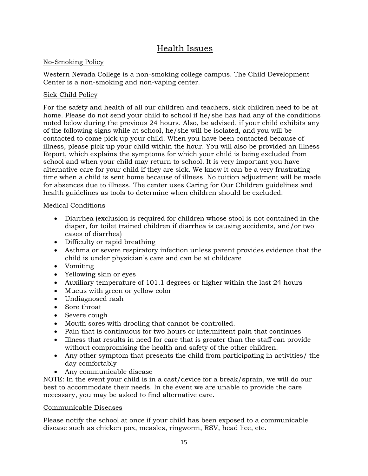# Health Issues

## No-Smoking Policy

Western Nevada College is a non-smoking college campus. The Child Development Center is a non-smoking and non-vaping center.

## Sick Child Policy

For the safety and health of all our children and teachers, sick children need to be at home. Please do not send your child to school if he/she has had any of the conditions noted below during the previous 24 hours. Also, be advised, if your child exhibits any of the following signs while at school, he/she will be isolated, and you will be contacted to come pick up your child. When you have been contacted because of illness, please pick up your child within the hour. You will also be provided an Illness Report, which explains the symptoms for which your child is being excluded from school and when your child may return to school. It is very important you have alternative care for your child if they are sick. We know it can be a very frustrating time when a child is sent home because of illness. No tuition adjustment will be made for absences due to illness. The center uses Caring for Our Children guidelines and health guidelines as tools to determine when children should be excluded.

Medical Conditions

- Diarrhea (exclusion is required for children whose stool is not contained in the diaper, for toilet trained children if diarrhea is causing accidents, and/or two cases of diarrhea)
- Difficulty or rapid breathing
- Asthma or severe respiratory infection unless parent provides evidence that the child is under physician's care and can be at childcare
- Vomiting
- Yellowing skin or eyes
- Auxiliary temperature of 101.1 degrees or higher within the last 24 hours
- Mucus with green or yellow color
- Undiagnosed rash
- Sore throat
- Severe cough
- Mouth sores with drooling that cannot be controlled.
- Pain that is continuous for two hours or intermittent pain that continues
- Illness that results in need for care that is greater than the staff can provide without compromising the health and safety of the other children.
- Any other symptom that presents the child from participating in activities/ the day comfortably
- Any communicable disease

NOTE: In the event your child is in a cast/device for a break/sprain, we will do our best to accommodate their needs. In the event we are unable to provide the care necessary, you may be asked to find alternative care.

## Communicable Diseases

Please notify the school at once if your child has been exposed to a communicable disease such as chicken pox, measles, ringworm, RSV, head lice, etc.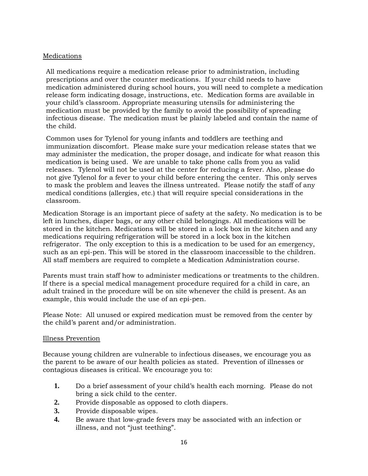## Medications

All medications require a medication release prior to administration, including prescriptions and over the counter medications. If your child needs to have medication administered during school hours, you will need to complete a medication release form indicating dosage, instructions, etc. Medication forms are available in your child's classroom. Appropriate measuring utensils for administering the medication must be provided by the family to avoid the possibility of spreading infectious disease. The medication must be plainly labeled and contain the name of the child.

Common uses for Tylenol for young infants and toddlers are teething and immunization discomfort. Please make sure your medication release states that we may administer the medication, the proper dosage, and indicate for what reason this medication is being used. We are unable to take phone calls from you as valid releases. Tylenol will not be used at the center for reducing a fever. Also, please do not give Tylenol for a fever to your child before entering the center. This only serves to mask the problem and leaves the illness untreated. Please notify the staff of any medical conditions (allergies, etc.) that will require special considerations in the classroom.

Medication Storage is an important piece of safety at the safety. No medication is to be left in lunches, diaper bags, or any other child belongings. All medications will be stored in the kitchen. Medications will be stored in a lock box in the kitchen and any medications requiring refrigeration will be stored in a lock box in the kitchen refrigerator. The only exception to this is a medication to be used for an emergency, such as an epi-pen. This will be stored in the classroom inaccessible to the children. All staff members are required to complete a Medication Administration course.

Parents must train staff how to administer medications or treatments to the children. If there is a special medical management procedure required for a child in care, an adult trained in the procedure will be on site whenever the child is present. As an example, this would include the use of an epi-pen.

Please Note: All unused or expired medication must be removed from the center by the child's parent and/or administration.

#### Illness Prevention

Because young children are vulnerable to infectious diseases, we encourage you as the parent to be aware of our health policies as stated. Prevention of illnesses or contagious diseases is critical. We encourage you to:

- **1.** Do a brief assessment of your child's health each morning. Please do not bring a sick child to the center.
- **2.** Provide disposable as opposed to cloth diapers.
- **3.** Provide disposable wipes.
- **4.** Be aware that low-grade fevers may be associated with an infection or illness, and not "just teething".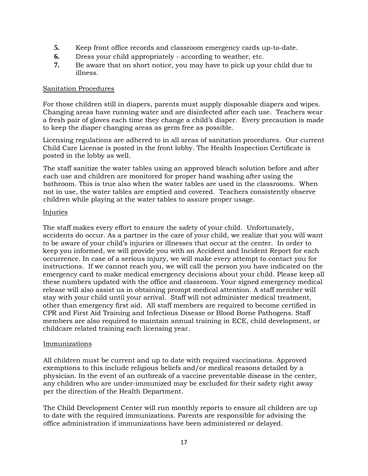- **5.** Keep front office records and classroom emergency cards up-to-date.
- **6.** Dress your child appropriately according to weather, etc.
- **7.** Be aware that on short notice, you may have to pick up your child due to illness.

#### Sanitation Procedures

For those children still in diapers, parents must supply disposable diapers and wipes. Changing areas have running water and are disinfected after each use. Teachers wear a fresh pair of gloves each time they change a child's diaper. Every precaution is made to keep the diaper changing areas as germ free as possible.

Licensing regulations are adhered to in all areas of sanitation procedures. Our current Child Care License is posted in the front lobby. The Health Inspection Certificate is posted in the lobby as well.

The staff sanitize the water tables using an approved bleach solution before and after each use and children are monitored for proper hand washing after using the bathroom. This is true also when the water tables are used in the classrooms. When not in use, the water tables are emptied and covered. Teachers consistently observe children while playing at the water tables to assure proper usage.

#### Injuries

The staff makes every effort to ensure the safety of your child. Unfortunately, accidents do occur. As a partner in the care of your child, we realize that you will want to be aware of your child's injuries or illnesses that occur at the center. In order to keep you informed, we will provide you with an Accident and Incident Report for each occurrence. In case of a serious injury, we will make every attempt to contact you for instructions. If we cannot reach you, we will call the person you have indicated on the emergency card to make medical emergency decisions about your child. Please keep all these numbers updated with the office and classroom. Your signed emergency medical release will also assist us in obtaining prompt medical attention. A staff member will stay with your child until your arrival. Staff will not administer medical treatment, other than emergency first aid. All staff members are required to become certified in CPR and First Aid Training and Infectious Disease or Blood Borne Pathogens. Staff members are also required to maintain annual training in ECE, child development, or childcare related training each licensing year.

## Immunizations

All children must be current and up to date with required vaccinations. Approved exemptions to this include religious beliefs and/or medical reasons detailed by a physician. In the event of an outbreak of a vaccine preventable disease in the center, any children who are under-immunized may be excluded for their safety right away per the direction of the Health Department.

The Child Development Center will run monthly reports to ensure all children are up to date with the required immunizations. Parents are responsible for advising the office administration if immunizations have been administered or delayed.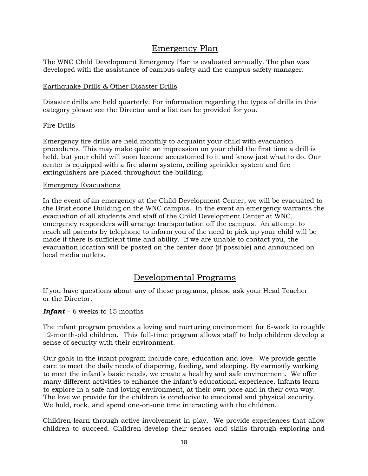# Emergency Plan

The WNC Child Development Emergency Plan is evaluated annually. The plan was developed with the assistance of campus safety and the campus safety manager.

### Earthquake Drills & Other Disaster Drills

Disaster drills are held quarterly. For information regarding the types of drills in this category please see the Director and a list can be provided for you.

#### Fire Drills

Emergency fire drills are held monthly to acquaint your child with evacuation procedures. This may make quite an impression on your child the first time a drill is held, but your child will soon become accustomed to it and know just what to do. Our center is equipped with a fire alarm system, ceiling sprinkler system and fire extinguishers are placed throughout the building.

#### Emergency Evacuations

In the event of an emergency at the Child Development Center, we will be evacuated to the Bristlecone Building on the WNC campus. In the event an emergency warrants the evacuation of all students and staff of the Child Development Center at WNC, emergency responders will arrange transportation off the campus. An attempt to reach all parents by telephone to inform you of the need to pick up your child will be made if there is sufficient time and ability. If we are unable to contact you, the evacuation location will be posted on the center door (if possible) and announced on local media outlets.

## Developmental Programs

If you have questions about any of these programs, please ask your Head Teacher or the Director.

## *Infant* – 6 weeks to 15 months

The infant program provides a loving and nurturing environment for 6-week to roughly 12-month-old children. This full-time program allows staff to help children develop a sense of security with their environment.

Our goals in the infant program include care, education and love. We provide gentle care to meet the daily needs of diapering, feeding, and sleeping. By earnestly working to meet the infant's basic needs, we create a healthy and safe environment. We offer many different activities to enhance the infant's educational experience. Infants learn to explore in a safe and loving environment, at their own pace and in their own way. The love we provide for the children is conducive to emotional and physical security. We hold, rock, and spend one-on-one time interacting with the children.

Children learn through active involvement in play. We provide experiences that allow children to succeed. Children develop their senses and skills through exploring and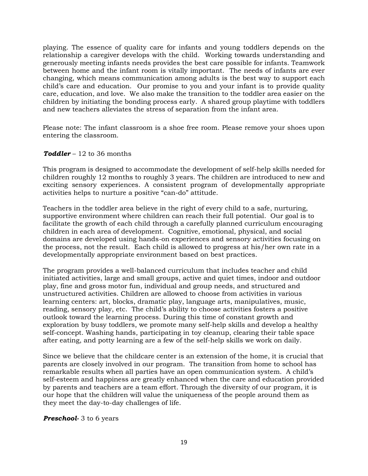playing. The essence of quality care for infants and young toddlers depends on the relationship a caregiver develops with the child. Working towards understanding and generously meeting infants needs provides the best care possible for infants. Teamwork between home and the infant room is vitally important. The needs of infants are ever changing, which means communication among adults is the best way to support each child's care and education. Our promise to you and your infant is to provide quality care, education, and love. We also make the transition to the toddler area easier on the children by initiating the bonding process early. A shared group playtime with toddlers and new teachers alleviates the stress of separation from the infant area.

Please note: The infant classroom is a shoe free room. Please remove your shoes upon entering the classroom.

#### *Toddler* – 12 to 36 months

This program is designed to accommodate the development of self-help skills needed for children roughly 12 months to roughly 3 years. The children are introduced to new and exciting sensory experiences. A consistent program of developmentally appropriate activities helps to nurture a positive "can-do" attitude.

Teachers in the toddler area believe in the right of every child to a safe, nurturing, supportive environment where children can reach their full potential. Our goal is to facilitate the growth of each child through a carefully planned curriculum encouraging children in each area of development. Cognitive, emotional, physical, and social domains are developed using hands-on experiences and sensory activities focusing on the process, not the result. Each child is allowed to progress at his/her own rate in a developmentally appropriate environment based on best practices.

The program provides a well-balanced curriculum that includes teacher and child initiated activities, large and small groups, active and quiet times, indoor and outdoor play, fine and gross motor fun, individual and group needs, and structured and unstructured activities. Children are allowed to choose from activities in various learning centers: art, blocks, dramatic play, language arts, manipulatives, music, reading, sensory play, etc. The child's ability to choose activities fosters a positive outlook toward the learning process. During this time of constant growth and exploration by busy toddlers, we promote many self-help skills and develop a healthy self-concept. Washing hands, participating in toy cleanup, clearing their table space after eating, and potty learning are a few of the self-help skills we work on daily.

Since we believe that the childcare center is an extension of the home, it is crucial that parents are closely involved in our program. The transition from home to school has remarkable results when all parties have an open communication system. A child's self-esteem and happiness are greatly enhanced when the care and education provided by parents and teachers are a team effort. Through the diversity of our program, it is our hope that the children will value the uniqueness of the people around them as they meet the day-to-day challenges of life.

#### *Preschool-* 3 to 6 years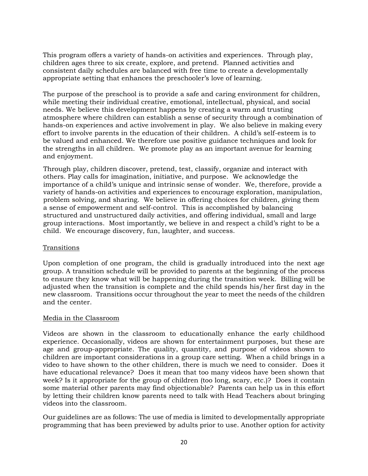This program offers a variety of hands-on activities and experiences. Through play, children ages three to six create, explore, and pretend. Planned activities and consistent daily schedules are balanced with free time to create a developmentally appropriate setting that enhances the preschooler's love of learning.

The purpose of the preschool is to provide a safe and caring environment for children, while meeting their individual creative, emotional, intellectual, physical, and social needs. We believe this development happens by creating a warm and trusting atmosphere where children can establish a sense of security through a combination of hands-on experiences and active involvement in play. We also believe in making every effort to involve parents in the education of their children. A child's self-esteem is to be valued and enhanced. We therefore use positive guidance techniques and look for the strengths in all children. We promote play as an important avenue for learning and enjoyment.

Through play, children discover, pretend, test, classify, organize and interact with others. Play calls for imagination, initiative, and purpose. We acknowledge the importance of a child's unique and intrinsic sense of wonder. We, therefore, provide a variety of hands-on activities and experiences to encourage exploration, manipulation, problem solving, and sharing. We believe in offering choices for children, giving them a sense of empowerment and self-control. This is accomplished by balancing structured and unstructured daily activities, and offering individual, small and large group interactions. Most importantly, we believe in and respect a child's right to be a child. We encourage discovery, fun, laughter, and success.

## **Transitions**

Upon completion of one program, the child is gradually introduced into the next age group. A transition schedule will be provided to parents at the beginning of the process to ensure they know what will be happening during the transition week. Billing will be adjusted when the transition is complete and the child spends his/her first day in the new classroom. Transitions occur throughout the year to meet the needs of the children and the center.

#### Media in the Classroom

Videos are shown in the classroom to educationally enhance the early childhood experience. Occasionally, videos are shown for entertainment purposes, but these are age and group-appropriate. The quality, quantity, and purpose of videos shown to children are important considerations in a group care setting. When a child brings in a video to have shown to the other children, there is much we need to consider. Does it have educational relevance? Does it mean that too many videos have been shown that week? Is it appropriate for the group of children (too long, scary, etc.)? Does it contain some material other parents may find objectionable? Parents can help us in this effort by letting their children know parents need to talk with Head Teachers about bringing videos into the classroom.

Our guidelines are as follows: The use of media is limited to developmentally appropriate programming that has been previewed by adults prior to use. Another option for activity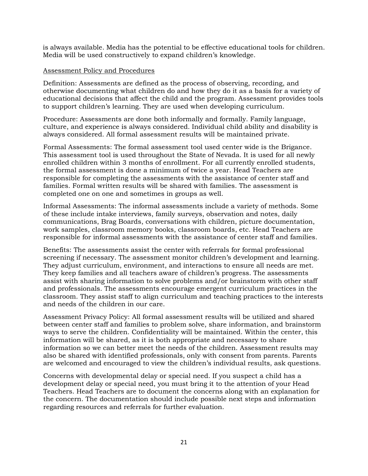is always available. Media has the potential to be effective educational tools for children. Media will be used constructively to expand children's knowledge.

#### Assessment Policy and Procedures

Definition: Assessments are defined as the process of observing, recording, and otherwise documenting what children do and how they do it as a basis for a variety of educational decisions that affect the child and the program. Assessment provides tools to support children's learning. They are used when developing curriculum.

Procedure: Assessments are done both informally and formally. Family language, culture, and experience is always considered. Individual child ability and disability is always considered. All formal assessment results will be maintained private.

Formal Assessments: The formal assessment tool used center wide is the Brigance. This assessment tool is used throughout the State of Nevada. It is used for all newly enrolled children within 3 months of enrollment. For all currently enrolled students, the formal assessment is done a minimum of twice a year. Head Teachers are responsible for completing the assessments with the assistance of center staff and families. Formal written results will be shared with families. The assessment is completed one on one and sometimes in groups as well.

Informal Assessments: The informal assessments include a variety of methods. Some of these include intake interviews, family surveys, observation and notes, daily communications, Brag Boards, conversations with children, picture documentation, work samples, classroom memory books, classroom boards, etc. Head Teachers are responsible for informal assessments with the assistance of center staff and families.

Benefits: The assessments assist the center with referrals for formal professional screening if necessary. The assessment monitor children's development and learning. They adjust curriculum, environment, and interactions to ensure all needs are met. They keep families and all teachers aware of children's progress. The assessments assist with sharing information to solve problems and/or brainstorm with other staff and professionals. The assessments encourage emergent curriculum practices in the classroom. They assist staff to align curriculum and teaching practices to the interests and needs of the children in our care.

Assessment Privacy Policy: All formal assessment results will be utilized and shared between center staff and families to problem solve, share information, and brainstorm ways to serve the children. Confidentiality will be maintained. Within the center, this information will be shared, as it is both appropriate and necessary to share information so we can better meet the needs of the children. Assessment results may also be shared with identified professionals, only with consent from parents. Parents are welcomed and encouraged to view the children's individual results, ask questions.

Concerns with developmental delay or special need. If you suspect a child has a development delay or special need, you must bring it to the attention of your Head Teachers. Head Teachers are to document the concerns along with an explanation for the concern. The documentation should include possible next steps and information regarding resources and referrals for further evaluation.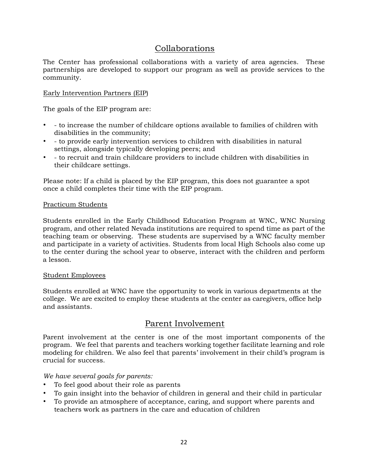# Collaborations

The Center has professional collaborations with a variety of area agencies. These partnerships are developed to support our program as well as provide services to the community.

## Early Intervention Partners (EIP)

The goals of the EIP program are:

- - to increase the number of childcare options available to families of children with disabilities in the community;
- - to provide early intervention services to children with disabilities in natural settings, alongside typically developing peers; and
- - to recruit and train childcare providers to include children with disabilities in their childcare settings.

Please note: If a child is placed by the EIP program, this does not guarantee a spot once a child completes their time with the EIP program.

#### Practicum Students

Students enrolled in the Early Childhood Education Program at WNC, WNC Nursing program, and other related Nevada institutions are required to spend time as part of the teaching team or observing. These students are supervised by a WNC faculty member and participate in a variety of activities. Students from local High Schools also come up to the center during the school year to observe, interact with the children and perform a lesson.

#### Student Employees

Students enrolled at WNC have the opportunity to work in various departments at the college. We are excited to employ these students at the center as caregivers, office help and assistants.

## Parent Involvement

Parent involvement at the center is one of the most important components of the program. We feel that parents and teachers working together facilitate learning and role modeling for children. We also feel that parents' involvement in their child's program is crucial for success.

*We have several goals for parents:* 

- To feel good about their role as parents
- To gain insight into the behavior of children in general and their child in particular
- To provide an atmosphere of acceptance, caring, and support where parents and teachers work as partners in the care and education of children